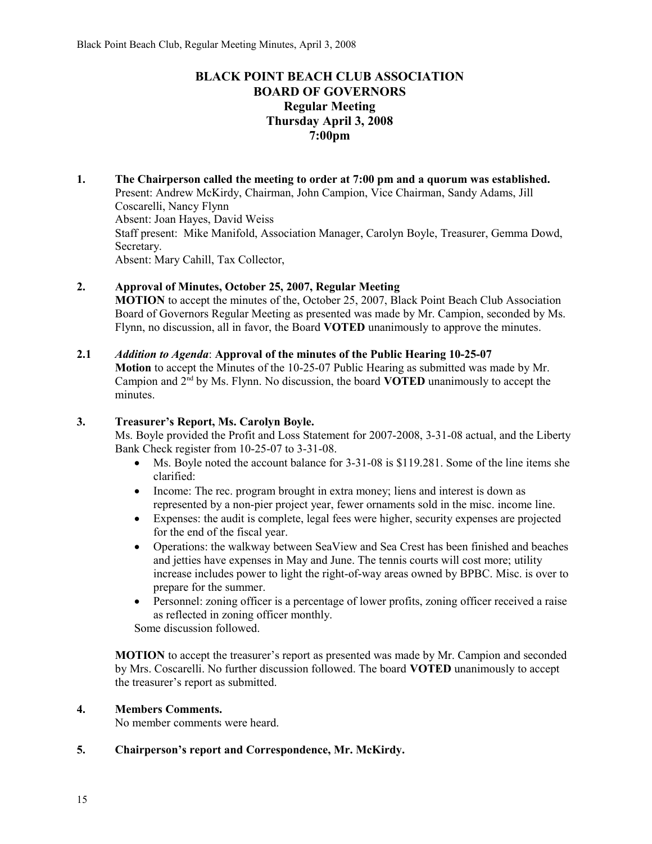# **BLACK POINT BEACH CLUB ASSOCIATION BOARD OF GOVERNORS Regular Meeting Thursday April 3, 2008 7:00pm**

**1. The Chairperson called the meeting to order at 7:00 pm and a quorum was established.**  Present: Andrew McKirdy, Chairman, John Campion, Vice Chairman, Sandy Adams, Jill Coscarelli, Nancy Flynn Absent: Joan Hayes, David Weiss Staff present: Mike Manifold, Association Manager, Carolyn Boyle, Treasurer, Gemma Dowd, Secretary. Absent: Mary Cahill, Tax Collector,

## **2. Approval of Minutes, October 25, 2007, Regular Meeting**

**MOTION** to accept the minutes of the, October 25, 2007, Black Point Beach Club Association Board of Governors Regular Meeting as presented was made by Mr. Campion, seconded by Ms. Flynn, no discussion, all in favor, the Board **VOTED** unanimously to approve the minutes.

## **2.1** *Addition to Agenda*: **Approval of the minutes of the Public Hearing 10-25-07**

**Motion** to accept the Minutes of the 10-25-07 Public Hearing as submitted was made by Mr. Campion and 2nd by Ms. Flynn. No discussion, the board **VOTED** unanimously to accept the minutes.

## **3. Treasurer's Report, Ms. Carolyn Boyle.**

Ms. Boyle provided the Profit and Loss Statement for 2007-2008, 3-31-08 actual, and the Liberty Bank Check register from 10-25-07 to 3-31-08.

- Ms. Boyle noted the account balance for 3-31-08 is \$119.281. Some of the line items she clarified:
- Income: The rec. program brought in extra money; liens and interest is down as represented by a non-pier project year, fewer ornaments sold in the misc. income line.
- Expenses: the audit is complete, legal fees were higher, security expenses are projected for the end of the fiscal year.
- Operations: the walkway between SeaView and Sea Crest has been finished and beaches and jetties have expenses in May and June. The tennis courts will cost more; utility increase includes power to light the right-of-way areas owned by BPBC. Misc. is over to prepare for the summer.
- Personnel: zoning officer is a percentage of lower profits, zoning officer received a raise as reflected in zoning officer monthly.

Some discussion followed.

**MOTION** to accept the treasurer's report as presented was made by Mr. Campion and seconded by Mrs. Coscarelli. No further discussion followed. The board **VOTED** unanimously to accept the treasurer's report as submitted.

#### **4. Members Comments.**

No member comments were heard.

## **5. Chairperson's report and Correspondence, Mr. McKirdy.**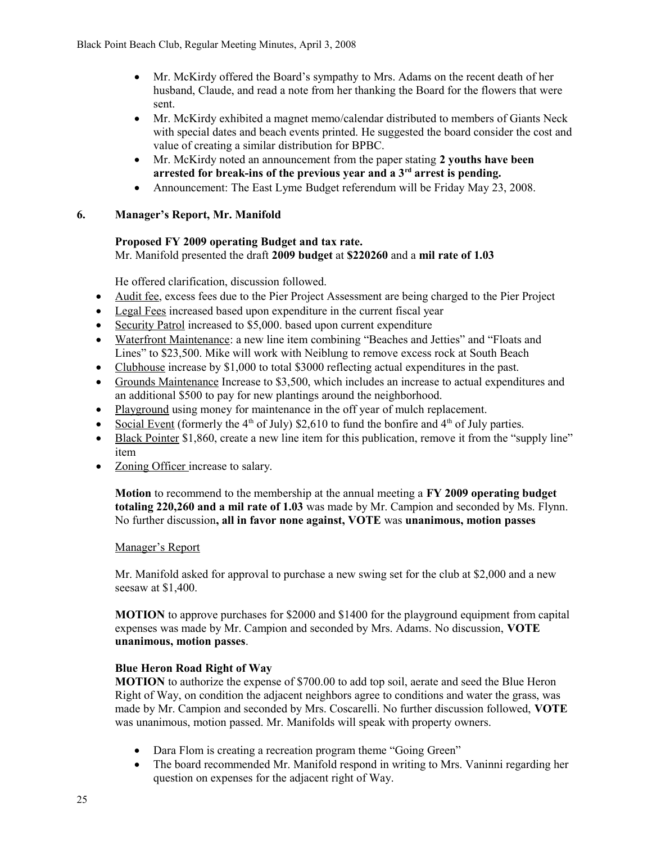- Mr. McKirdy offered the Board's sympathy to Mrs. Adams on the recent death of her husband, Claude, and read a note from her thanking the Board for the flowers that were sent.
- Mr. McKirdy exhibited a magnet memo/calendar distributed to members of Giants Neck with special dates and beach events printed. He suggested the board consider the cost and value of creating a similar distribution for BPBC.
- Mr. McKirdy noted an announcement from the paper stating **2 youths have been arrested for break-ins of the previous year and a 3rd arrest is pending.**
- Announcement: The East Lyme Budget referendum will be Friday May 23, 2008.

## **6. Manager's Report, Mr. Manifold**

# **Proposed FY 2009 operating Budget and tax rate.**

Mr. Manifold presented the draft **2009 budget** at **\$220260** and a **mil rate of 1.03**

He offered clarification, discussion followed.

- Audit fee, excess fees due to the Pier Project Assessment are being charged to the Pier Project
- Legal Fees increased based upon expenditure in the current fiscal year
- Security Patrol increased to \$5,000. based upon current expenditure
- Waterfront Maintenance: a new line item combining "Beaches and Jetties" and "Floats and Lines" to \$23,500. Mike will work with Neiblung to remove excess rock at South Beach
- Clubhouse increase by \$1,000 to total \$3000 reflecting actual expenditures in the past.
- Grounds Maintenance Increase to \$3,500, which includes an increase to actual expenditures and an additional \$500 to pay for new plantings around the neighborhood.
- Playground using money for maintenance in the off year of mulch replacement.
- Social Event (formerly the  $4<sup>th</sup>$  of July) \$2,610 to fund the bonfire and  $4<sup>th</sup>$  of July parties.
- Black Pointer \$1,860, create a new line item for this publication, remove it from the "supply line" item
- Zoning Officer increase to salary.

**Motion** to recommend to the membership at the annual meeting a **FY 2009 operating budget totaling 220,260 and a mil rate of 1.03** was made by Mr. Campion and seconded by Ms. Flynn. No further discussion**, all in favor none against, VOTE** was **unanimous, motion passes**

## Manager's Report

Mr. Manifold asked for approval to purchase a new swing set for the club at \$2,000 and a new seesaw at \$1,400.

**MOTION** to approve purchases for \$2000 and \$1400 for the playground equipment from capital expenses was made by Mr. Campion and seconded by Mrs. Adams. No discussion, **VOTE unanimous, motion passes**.

## **Blue Heron Road Right of Way**

**MOTION** to authorize the expense of \$700.00 to add top soil, aerate and seed the Blue Heron Right of Way, on condition the adjacent neighbors agree to conditions and water the grass, was made by Mr. Campion and seconded by Mrs. Coscarelli. No further discussion followed, **VOTE**  was unanimous, motion passed. Mr. Manifolds will speak with property owners.

- Dara Flom is creating a recreation program theme "Going Green"
- The board recommended Mr. Manifold respond in writing to Mrs. Vaninni regarding her question on expenses for the adjacent right of Way.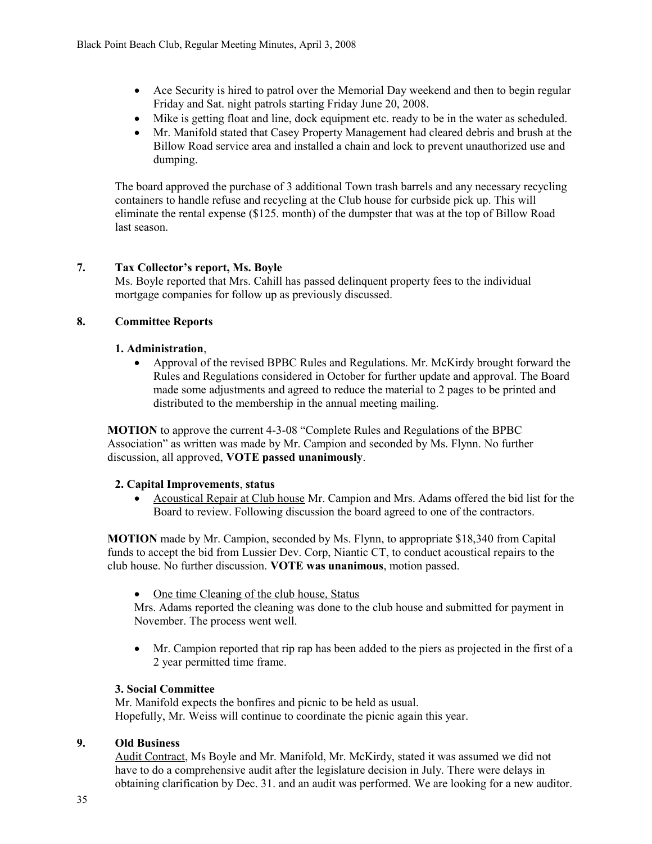- Ace Security is hired to patrol over the Memorial Day weekend and then to begin regular Friday and Sat. night patrols starting Friday June 20, 2008.
- Mike is getting float and line, dock equipment etc. ready to be in the water as scheduled.
- Mr. Manifold stated that Casey Property Management had cleared debris and brush at the Billow Road service area and installed a chain and lock to prevent unauthorized use and dumping.

The board approved the purchase of 3 additional Town trash barrels and any necessary recycling containers to handle refuse and recycling at the Club house for curbside pick up. This will eliminate the rental expense (\$125. month) of the dumpster that was at the top of Billow Road last season.

## **7. Tax Collector's report, Ms. Boyle**

Ms. Boyle reported that Mrs. Cahill has passed delinquent property fees to the individual mortgage companies for follow up as previously discussed.

## **8. Committee Reports**

## **1. Administration**,

 Approval of the revised BPBC Rules and Regulations. Mr. McKirdy brought forward the Rules and Regulations considered in October for further update and approval. The Board made some adjustments and agreed to reduce the material to 2 pages to be printed and distributed to the membership in the annual meeting mailing.

**MOTION** to approve the current 4-3-08 "Complete Rules and Regulations of the BPBC Association" as written was made by Mr. Campion and seconded by Ms. Flynn. No further discussion, all approved, **VOTE passed unanimously**.

## **2. Capital Improvements**, **status**

 Acoustical Repair at Club house Mr. Campion and Mrs. Adams offered the bid list for the Board to review. Following discussion the board agreed to one of the contractors.

**MOTION** made by Mr. Campion, seconded by Ms. Flynn, to appropriate \$18,340 from Capital funds to accept the bid from Lussier Dev. Corp, Niantic CT, to conduct acoustical repairs to the club house. No further discussion. **VOTE was unanimous**, motion passed.

• One time Cleaning of the club house, Status

Mrs. Adams reported the cleaning was done to the club house and submitted for payment in November. The process went well.

 Mr. Campion reported that rip rap has been added to the piers as projected in the first of a 2 year permitted time frame.

## **3. Social Committee**

Mr. Manifold expects the bonfires and picnic to be held as usual. Hopefully, Mr. Weiss will continue to coordinate the picnic again this year.

## **9. Old Business**

Audit Contract, Ms Boyle and Mr. Manifold, Mr. McKirdy, stated it was assumed we did not have to do a comprehensive audit after the legislature decision in July. There were delays in obtaining clarification by Dec. 31. and an audit was performed. We are looking for a new auditor.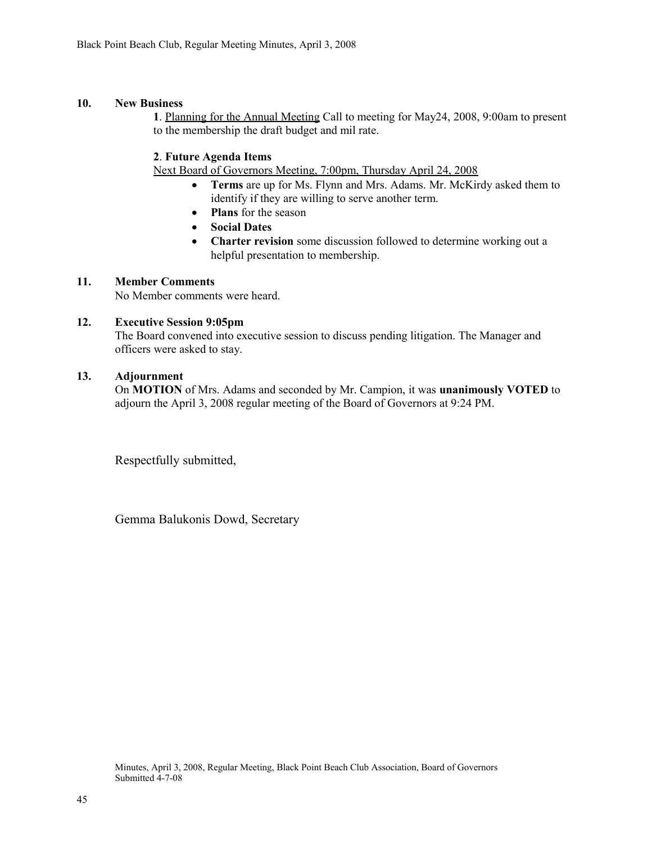## **10. New Business**

**1**. Planning for the Annual Meeting Call to meeting for May24, 2008, 9:00am to present to the membership the draft budget and mil rate.

## **2**. **Future Agenda Items**

Next Board of Governors Meeting, 7:00pm, Thursday April 24, 2008

- **Terms** are up for Ms. Flynn and Mrs. Adams. Mr. McKirdy asked them to identify if they are willing to serve another term.
- **Plans** for the season
- **Social Dates**
- **Charter revision** some discussion followed to determine working out a helpful presentation to membership.

#### **11. Member Comments**

No Member comments were heard.

#### **12. Executive Session 9:05pm**

The Board convened into executive session to discuss pending litigation. The Manager and officers were asked to stay.

#### **13. Adjournment**

On **MOTION** of Mrs. Adams and seconded by Mr. Campion, it was **unanimously VOTED** to adjourn the April 3, 2008 regular meeting of the Board of Governors at 9:24 PM.

Respectfully submitted,

Gemma Balukonis Dowd, Secretary